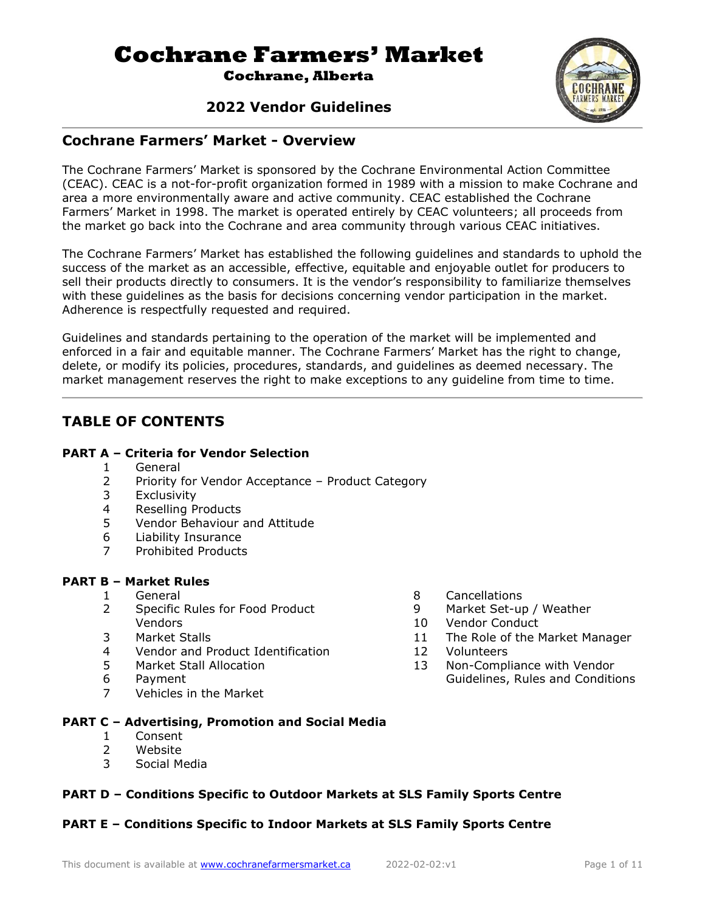# **Cochrane Farmers' Market**

**Cochrane, Alberta**

# **2022 Vendor Guidelines**



# **Cochrane Farmers' Market - Overview**

The Cochrane Farmers' Market is sponsored by the Cochrane Environmental Action Committee (CEAC). CEAC is a not-for-profit organization formed in 1989 with a mission to make Cochrane and area a more environmentally aware and active community. CEAC established the Cochrane Farmers' Market in 1998. The market is operated entirely by CEAC volunteers; all proceeds from the market go back into the Cochrane and area community through various CEAC initiatives.

The Cochrane Farmers' Market has established the following guidelines and standards to uphold the success of the market as an accessible, effective, equitable and enjoyable outlet for producers to sell their products directly to consumers. It is the vendor's responsibility to familiarize themselves with these guidelines as the basis for decisions concerning vendor participation in the market. Adherence is respectfully requested and required.

Guidelines and standards pertaining to the operation of the market will be implemented and enforced in a fair and equitable manner. The Cochrane Farmers' Market has the right to change, delete, or modify its policies, procedures, standards, and guidelines as deemed necessary. The market management reserves the right to make exceptions to any guideline from time to time.

# **TABLE OF CONTENTS**

#### **PART A – Criteria for Vendor Selection**

- 1 General
- 2 Priority for Vendor Acceptance Product Category
- 3 Exclusivity
- 4 Reselling Products
- 5 Vendor Behaviour and Attitude
- 6 Liability Insurance
- 7 Prohibited Products

#### **PART B – Market Rules**

- 1 General
- 2 Specific Rules for Food Product Vendors
- 3 Market Stalls
- 4 Vendor and Product Identification<br>5 Market Stall Allocation
- Market Stall Allocation
- 6 Payment
- 7 Vehicles in the Market
- 8 Cancellations
- 9 Market Set-up / Weather
- 10 Vendor Conduct
- 11 The Role of the Market Manager
- 12 Volunteers
- 13 Non-Compliance with Vendor Guidelines, Rules and Conditions
- **PART C – Advertising, Promotion and Social Media**
	- 1 Consent
	- 2 Website
	- 3 Social Media

#### **PART D – Conditions Specific to Outdoor Markets at SLS Family Sports Centre**

#### **PART E – Conditions Specific to Indoor Markets at SLS Family Sports Centre**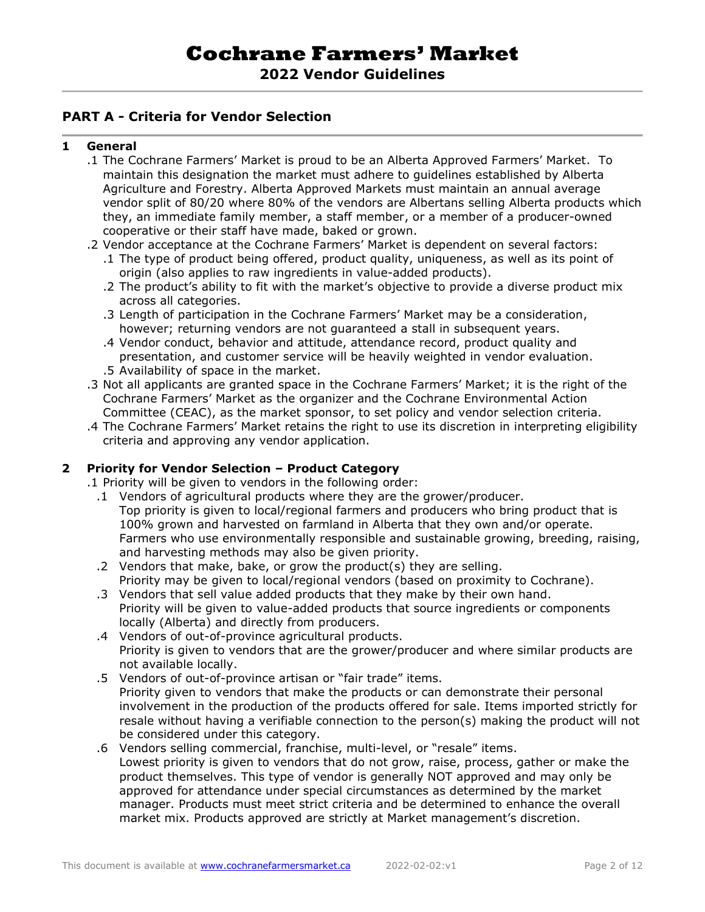#### **PART A - Criteria for Vendor Selection**

#### **1 General**

- .1 The Cochrane Farmers' Market is proud to be an Alberta Approved Farmers' Market. To maintain this designation the market must adhere to guidelines established by Alberta Agriculture and Forestry. Alberta Approved Markets must maintain an annual average vendor split of 80/20 where 80% of the vendors are Albertans selling Alberta products which they, an immediate family member, a staff member, or a member of a producer-owned cooperative or their staff have made, baked or grown.
- .2 Vendor acceptance at the Cochrane Farmers' Market is dependent on several factors:
	- .1 The type of product being offered, product quality, uniqueness, as well as its point of origin (also applies to raw ingredients in value-added products).
	- .2 The product's ability to fit with the market's objective to provide a diverse product mix across all categories.
	- .3 Length of participation in the Cochrane Farmers' Market may be a consideration, however; returning vendors are not guaranteed a stall in subsequent years.
	- .4 Vendor conduct, behavior and attitude, attendance record, product quality and presentation, and customer service will be heavily weighted in vendor evaluation.
	- .5 Availability of space in the market.
- .3 Not all applicants are granted space in the Cochrane Farmers' Market; it is the right of the Cochrane Farmers' Market as the organizer and the Cochrane Environmental Action Committee (CEAC), as the market sponsor, to set policy and vendor selection criteria.
- .4 The Cochrane Farmers' Market retains the right to use its discretion in interpreting eligibility criteria and approving any vendor application.

#### **2 Priority for Vendor Selection – Product Category**

.1 Priority will be given to vendors in the following order:

- .1 Vendors of agricultural products where they are the grower/producer. Top priority is given to local/regional farmers and producers who bring product that is 100% grown and harvested on farmland in Alberta that they own and/or operate. Farmers who use environmentally responsible and sustainable growing, breeding, raising, and harvesting methods may also be given priority.
- .2 Vendors that make, bake, or grow the product(s) they are selling. Priority may be given to local/regional vendors (based on proximity to Cochrane).
- .3 Vendors that sell value added products that they make by their own hand. Priority will be given to value-added products that source ingredients or components locally (Alberta) and directly from producers.
- .4 Vendors of out-of-province agricultural products. Priority is given to vendors that are the grower/producer and where similar products are not available locally.
- .5 Vendors of out-of-province artisan or "fair trade" items. Priority given to vendors that make the products or can demonstrate their personal involvement in the production of the products offered for sale. Items imported strictly for resale without having a verifiable connection to the person(s) making the product will not be considered under this category.
- .6 Vendors selling commercial, franchise, multi-level, or "resale" items. Lowest priority is given to vendors that do not grow, raise, process, gather or make the product themselves. This type of vendor is generally NOT approved and may only be approved for attendance under special circumstances as determined by the market manager. Products must meet strict criteria and be determined to enhance the overall market mix. Products approved are strictly at Market management's discretion.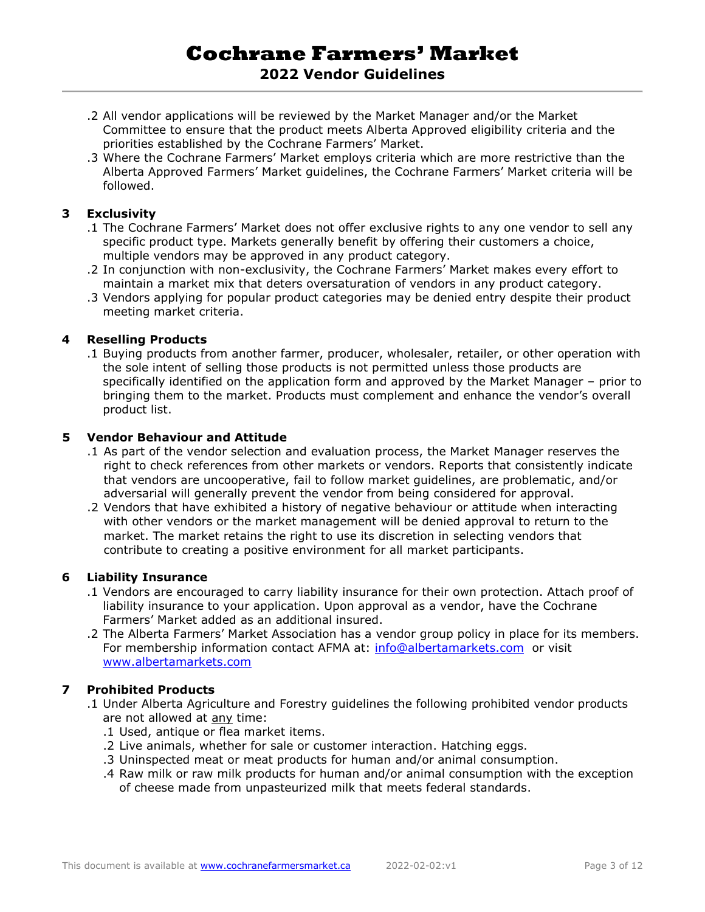# **Cochrane Farmers' Market 2022 Vendor Guidelines**

- .2 All vendor applications will be reviewed by the Market Manager and/or the Market Committee to ensure that the product meets Alberta Approved eligibility criteria and the priorities established by the Cochrane Farmers' Market.
- .3 Where the Cochrane Farmers' Market employs criteria which are more restrictive than the Alberta Approved Farmers' Market guidelines, the Cochrane Farmers' Market criteria will be followed.

#### **3 Exclusivity**

- .1 The Cochrane Farmers' Market does not offer exclusive rights to any one vendor to sell any specific product type. Markets generally benefit by offering their customers a choice, multiple vendors may be approved in any product category.
- .2 In conjunction with non-exclusivity, the Cochrane Farmers' Market makes every effort to maintain a market mix that deters oversaturation of vendors in any product category.
- .3 Vendors applying for popular product categories may be denied entry despite their product meeting market criteria.

#### **4 Reselling Products**

.1 Buying products from another farmer, producer, wholesaler, retailer, or other operation with the sole intent of selling those products is not permitted unless those products are specifically identified on the application form and approved by the Market Manager – prior to bringing them to the market. Products must complement and enhance the vendor's overall product list.

#### **5 Vendor Behaviour and Attitude**

- .1 As part of the vendor selection and evaluation process, the Market Manager reserves the right to check references from other markets or vendors. Reports that consistently indicate that vendors are uncooperative, fail to follow market guidelines, are problematic, and/or adversarial will generally prevent the vendor from being considered for approval.
- .2 Vendors that have exhibited a history of negative behaviour or attitude when interacting with other vendors or the market management will be denied approval to return to the market. The market retains the right to use its discretion in selecting vendors that contribute to creating a positive environment for all market participants.

#### **6 Liability Insurance**

- .1 Vendors are encouraged to carry liability insurance for their own protection. Attach proof of liability insurance to your application. Upon approval as a vendor, have the Cochrane Farmers' Market added as an additional insured.
- .2 The Alberta Farmers' Market Association has a vendor group policy in place for its members. For membership information contact AFMA at: [info@albertamarkets.com](mailto:info@albertamarkets.com) or visit [www.albertamarkets.com](http://www.albertamarkets.com/)

#### **7 Prohibited Products**

- .1 Under Alberta Agriculture and Forestry guidelines the following prohibited vendor products are not allowed at any time:
	- .1 Used, antique or flea market items.
	- .2 Live animals, whether for sale or customer interaction. Hatching eggs.
	- .3 Uninspected meat or meat products for human and/or animal consumption.
	- .4 Raw milk or raw milk products for human and/or animal consumption with the exception of cheese made from unpasteurized milk that meets federal standards.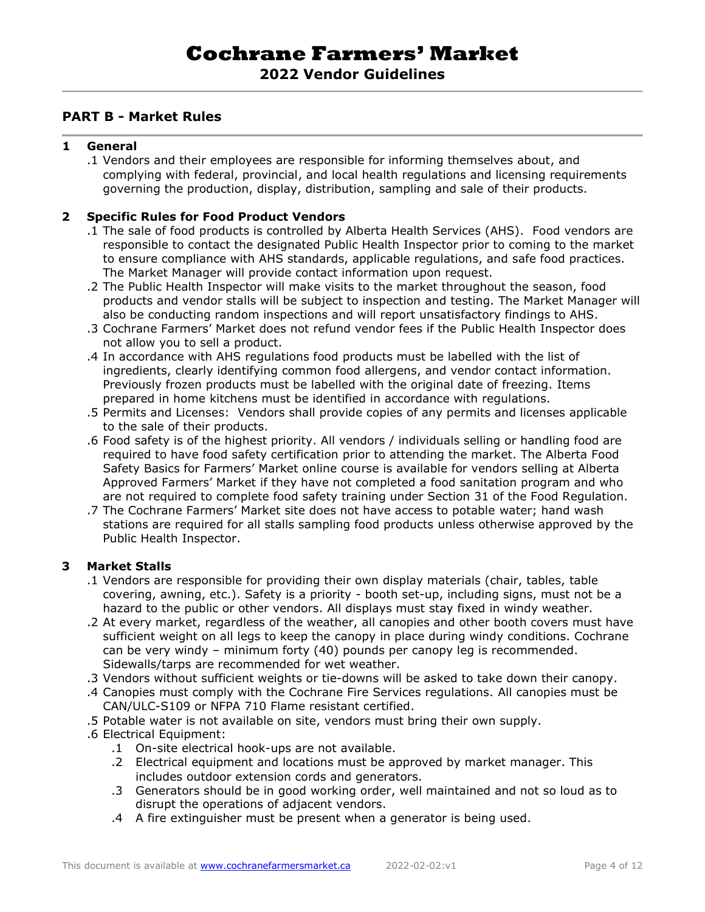### **PART B - Market Rules**

#### **1 General**

.1 Vendors and their employees are responsible for informing themselves about, and complying with federal, provincial, and local health regulations and licensing requirements governing the production, display, distribution, sampling and sale of their products.

#### **2 Specific Rules for Food Product Vendors**

- .1 The sale of food products is controlled by Alberta Health Services (AHS). Food vendors are responsible to contact the designated Public Health Inspector prior to coming to the market to ensure compliance with AHS standards, applicable regulations, and safe food practices. The Market Manager will provide contact information upon request.
- .2 The Public Health Inspector will make visits to the market throughout the season, food products and vendor stalls will be subject to inspection and testing. The Market Manager will also be conducting random inspections and will report unsatisfactory findings to AHS.
- .3 Cochrane Farmers' Market does not refund vendor fees if the Public Health Inspector does not allow you to sell a product.
- .4 In accordance with AHS regulations food products must be labelled with the list of ingredients, clearly identifying common food allergens, and vendor contact information. Previously frozen products must be labelled with the original date of freezing. Items prepared in home kitchens must be identified in accordance with regulations.
- .5 Permits and Licenses: Vendors shall provide copies of any permits and licenses applicable to the sale of their products.
- .6 Food safety is of the highest priority. All vendors / individuals selling or handling food are required to have food safety certification prior to attending the market. The Alberta Food Safety Basics for Farmers' Market online course is available for vendors selling at Alberta Approved Farmers' Market if they have not completed a food sanitation program and who are not required to complete food safety training under Section 31 of the Food Regulation.
- .7 The Cochrane Farmers' Market site does not have access to potable water; hand wash stations are required for all stalls sampling food products unless otherwise approved by the Public Health Inspector.

#### **3 Market Stalls**

- .1 Vendors are responsible for providing their own display materials (chair, tables, table covering, awning, etc.). Safety is a priority - booth set-up, including signs, must not be a hazard to the public or other vendors. All displays must stay fixed in windy weather.
- .2 At every market, regardless of the weather, all canopies and other booth covers must have sufficient weight on all legs to keep the canopy in place during windy conditions. Cochrane can be very windy – minimum forty (40) pounds per canopy leg is recommended. Sidewalls/tarps are recommended for wet weather.
- .3 Vendors without sufficient weights or tie-downs will be asked to take down their canopy.
- .4 Canopies must comply with the Cochrane Fire Services regulations. All canopies must be CAN/ULC-S109 or NFPA 710 Flame resistant certified.
- .5 Potable water is not available on site, vendors must bring their own supply.
- .6 Electrical Equipment:
	- .1 On-site electrical hook-ups are not available.
	- .2 Electrical equipment and locations must be approved by market manager. This includes outdoor extension cords and generators.
	- .3 Generators should be in good working order, well maintained and not so loud as to disrupt the operations of adjacent vendors.
	- .4 A fire extinguisher must be present when a generator is being used.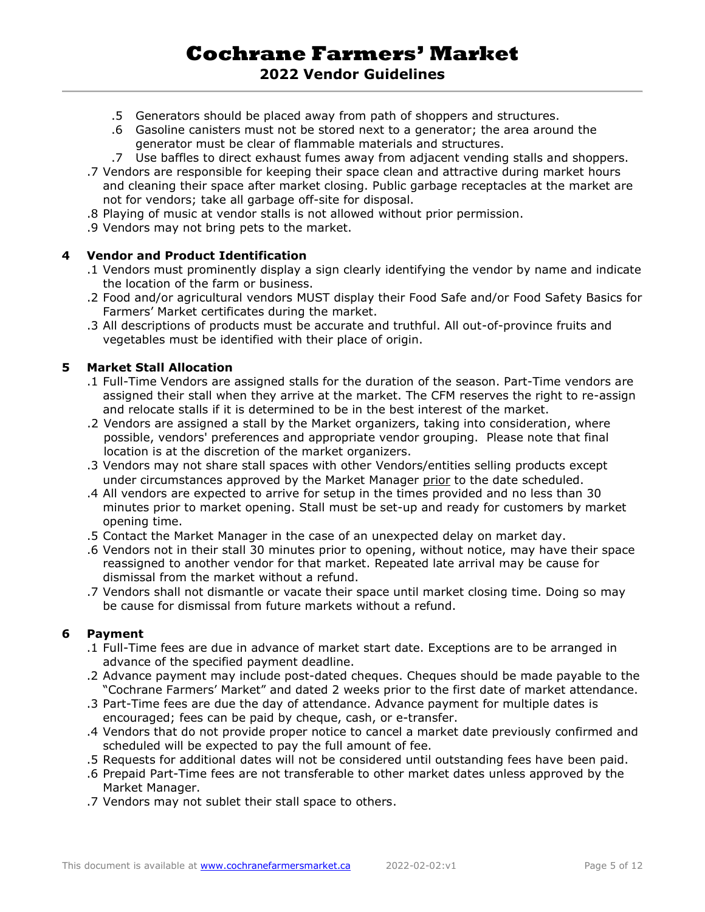# **Cochrane Farmers' Market 2022 Vendor Guidelines**

- .5 Generators should be placed away from path of shoppers and structures.
- .6 Gasoline canisters must not be stored next to a generator; the area around the generator must be clear of flammable materials and structures.
- .7 Use baffles to direct exhaust fumes away from adjacent vending stalls and shoppers.
- .7 Vendors are responsible for keeping their space clean and attractive during market hours and cleaning their space after market closing. Public garbage receptacles at the market are not for vendors; take all garbage off-site for disposal.
- .8 Playing of music at vendor stalls is not allowed without prior permission.
- .9 Vendors may not bring pets to the market.

#### **4 Vendor and Product Identification**

- .1 Vendors must prominently display a sign clearly identifying the vendor by name and indicate the location of the farm or business.
- .2 Food and/or agricultural vendors MUST display their Food Safe and/or Food Safety Basics for Farmers' Market certificates during the market.
- .3 All descriptions of products must be accurate and truthful. All out-of-province fruits and vegetables must be identified with their place of origin.

#### **5 Market Stall Allocation**

- .1 Full-Time Vendors are assigned stalls for the duration of the season. Part-Time vendors are assigned their stall when they arrive at the market. The CFM reserves the right to re-assign and relocate stalls if it is determined to be in the best interest of the market.
- .2 Vendors are assigned a stall by the Market organizers, taking into consideration, where possible, vendors' preferences and appropriate vendor grouping. Please note that final location is at the discretion of the market organizers.
- .3 Vendors may not share stall spaces with other Vendors/entities selling products except under circumstances approved by the Market Manager prior to the date scheduled.
- .4 All vendors are expected to arrive for setup in the times provided and no less than 30 minutes prior to market opening. Stall must be set-up and ready for customers by market opening time.
- .5 Contact the Market Manager in the case of an unexpected delay on market day.
- .6 Vendors not in their stall 30 minutes prior to opening, without notice, may have their space reassigned to another vendor for that market. Repeated late arrival may be cause for dismissal from the market without a refund.
- .7 Vendors shall not dismantle or vacate their space until market closing time. Doing so may be cause for dismissal from future markets without a refund.

#### **6 Payment**

- .1 Full-Time fees are due in advance of market start date. Exceptions are to be arranged in advance of the specified payment deadline.
- .2 Advance payment may include post-dated cheques. Cheques should be made payable to the "Cochrane Farmers' Market" and dated 2 weeks prior to the first date of market attendance.
- .3 Part-Time fees are due the day of attendance. Advance payment for multiple dates is encouraged; fees can be paid by cheque, cash, or e-transfer.
- .4 Vendors that do not provide proper notice to cancel a market date previously confirmed and scheduled will be expected to pay the full amount of fee.
- .5 Requests for additional dates will not be considered until outstanding fees have been paid.
- .6 Prepaid Part-Time fees are not transferable to other market dates unless approved by the Market Manager.
- .7 Vendors may not sublet their stall space to others.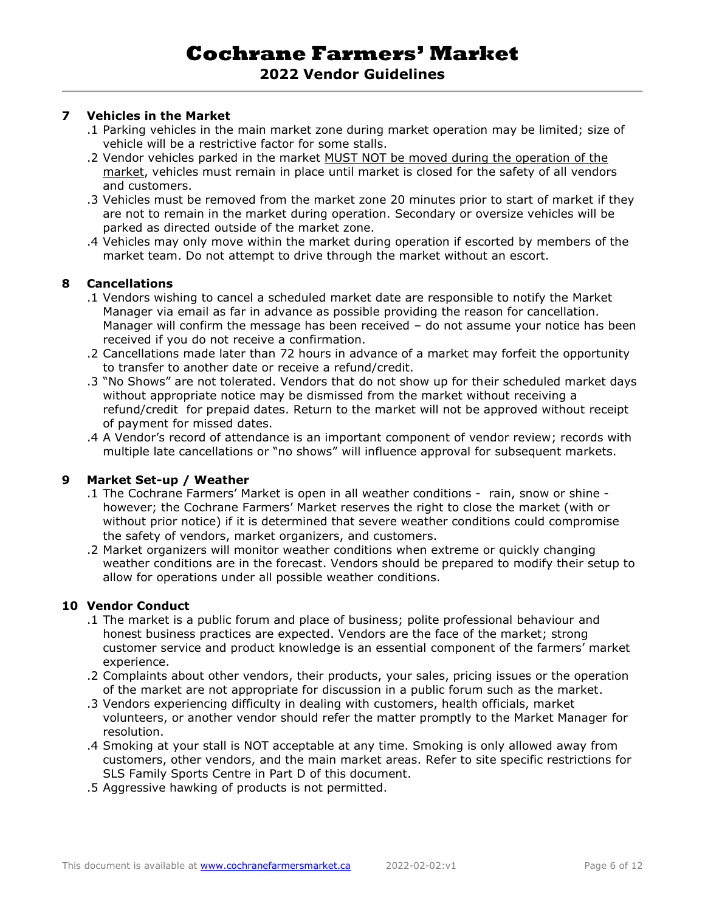#### **7 Vehicles in the Market**

- .1 Parking vehicles in the main market zone during market operation may be limited; size of vehicle will be a restrictive factor for some stalls.
- .2 Vendor vehicles parked in the market MUST NOT be moved during the operation of the market, vehicles must remain in place until market is closed for the safety of all vendors and customers.
- .3 Vehicles must be removed from the market zone 20 minutes prior to start of market if they are not to remain in the market during operation. Secondary or oversize vehicles will be parked as directed outside of the market zone.
- .4 Vehicles may only move within the market during operation if escorted by members of the market team. Do not attempt to drive through the market without an escort.

#### **8 Cancellations**

- .1 Vendors wishing to cancel a scheduled market date are responsible to notify the Market Manager via email as far in advance as possible providing the reason for cancellation. Manager will confirm the message has been received – do not assume your notice has been received if you do not receive a confirmation.
- .2 Cancellations made later than 72 hours in advance of a market may forfeit the opportunity to transfer to another date or receive a refund/credit.
- .3 "No Shows" are not tolerated. Vendors that do not show up for their scheduled market days without appropriate notice may be dismissed from the market without receiving a refund/credit for prepaid dates. Return to the market will not be approved without receipt of payment for missed dates.
- .4 A Vendor's record of attendance is an important component of vendor review; records with multiple late cancellations or "no shows" will influence approval for subsequent markets.

#### **9 Market Set-up / Weather**

- .1 The Cochrane Farmers' Market is open in all weather conditions rain, snow or shine however; the Cochrane Farmers' Market reserves the right to close the market (with or without prior notice) if it is determined that severe weather conditions could compromise the safety of vendors, market organizers, and customers.
- .2 Market organizers will monitor weather conditions when extreme or quickly changing weather conditions are in the forecast. Vendors should be prepared to modify their setup to allow for operations under all possible weather conditions.

#### **10 Vendor Conduct**

- .1 The market is a public forum and place of business; polite professional behaviour and honest business practices are expected. Vendors are the face of the market; strong customer service and product knowledge is an essential component of the farmers' market experience.
- .2 Complaints about other vendors, their products, your sales, pricing issues or the operation of the market are not appropriate for discussion in a public forum such as the market.
- .3 Vendors experiencing difficulty in dealing with customers, health officials, market volunteers, or another vendor should refer the matter promptly to the Market Manager for resolution.
- .4 Smoking at your stall is NOT acceptable at any time. Smoking is only allowed away from customers, other vendors, and the main market areas. Refer to site specific restrictions for SLS Family Sports Centre in Part D of this document.
- .5 Aggressive hawking of products is not permitted.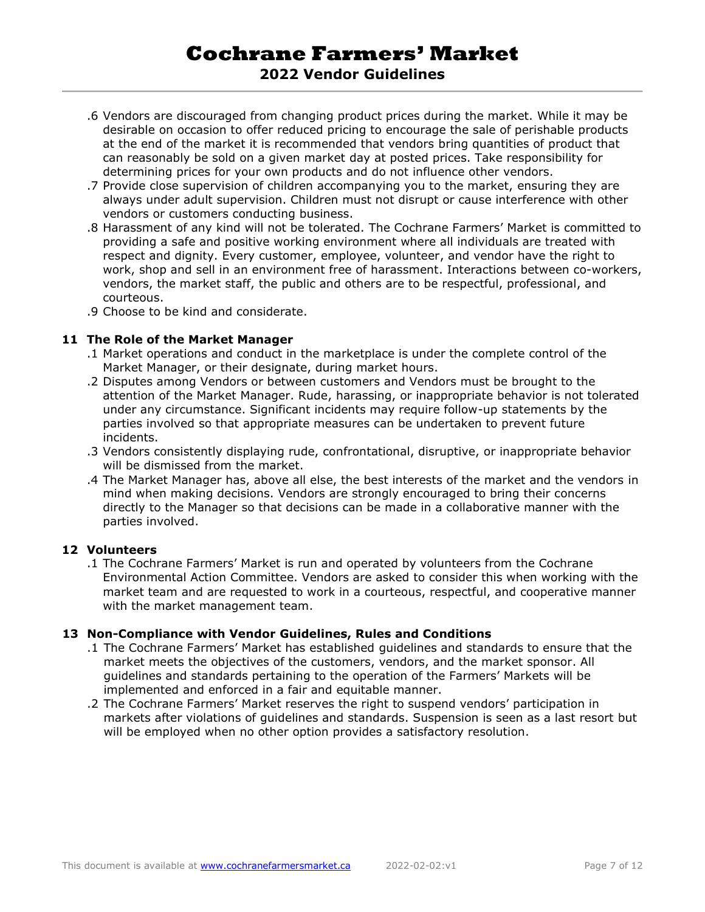# **Cochrane Farmers' Market 2022 Vendor Guidelines**

- .6 Vendors are discouraged from changing product prices during the market. While it may be desirable on occasion to offer reduced pricing to encourage the sale of perishable products at the end of the market it is recommended that vendors bring quantities of product that can reasonably be sold on a given market day at posted prices. Take responsibility for determining prices for your own products and do not influence other vendors.
- .7 Provide close supervision of children accompanying you to the market, ensuring they are always under adult supervision. Children must not disrupt or cause interference with other vendors or customers conducting business.
- .8 Harassment of any kind will not be tolerated. The Cochrane Farmers' Market is committed to providing a safe and positive working environment where all individuals are treated with respect and dignity. Every customer, employee, volunteer, and vendor have the right to work, shop and sell in an environment free of harassment. Interactions between co-workers, vendors, the market staff, the public and others are to be respectful, professional, and courteous.
- .9 Choose to be kind and considerate.

#### **11 The Role of the Market Manager**

- .1 Market operations and conduct in the marketplace is under the complete control of the Market Manager, or their designate, during market hours.
- .2 Disputes among Vendors or between customers and Vendors must be brought to the attention of the Market Manager. Rude, harassing, or inappropriate behavior is not tolerated under any circumstance. Significant incidents may require follow-up statements by the parties involved so that appropriate measures can be undertaken to prevent future incidents.
- .3 Vendors consistently displaying rude, confrontational, disruptive, or inappropriate behavior will be dismissed from the market.
- .4 The Market Manager has, above all else, the best interests of the market and the vendors in mind when making decisions. Vendors are strongly encouraged to bring their concerns directly to the Manager so that decisions can be made in a collaborative manner with the parties involved.

#### **12 Volunteers**

.1 The Cochrane Farmers' Market is run and operated by volunteers from the Cochrane Environmental Action Committee. Vendors are asked to consider this when working with the market team and are requested to work in a courteous, respectful, and cooperative manner with the market management team.

#### **13 Non-Compliance with Vendor Guidelines, Rules and Conditions**

- .1 The Cochrane Farmers' Market has established guidelines and standards to ensure that the market meets the objectives of the customers, vendors, and the market sponsor. All guidelines and standards pertaining to the operation of the Farmers' Markets will be implemented and enforced in a fair and equitable manner.
- .2 The Cochrane Farmers' Market reserves the right to suspend vendors' participation in markets after violations of guidelines and standards. Suspension is seen as a last resort but will be employed when no other option provides a satisfactory resolution.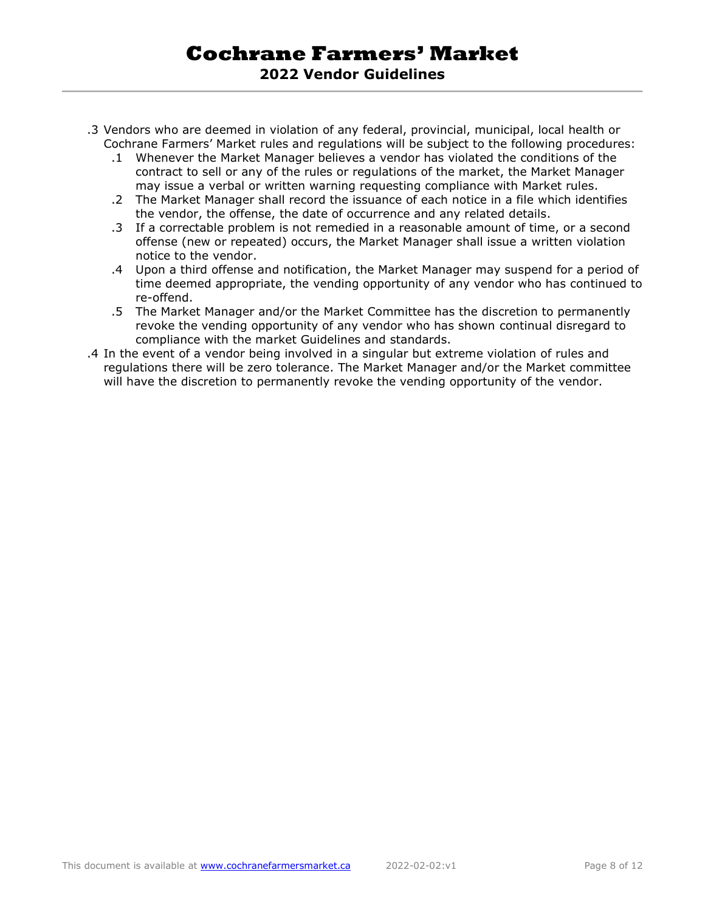- .3 Vendors who are deemed in violation of any federal, provincial, municipal, local health or Cochrane Farmers' Market rules and regulations will be subject to the following procedures:
	- .1 Whenever the Market Manager believes a vendor has violated the conditions of the contract to sell or any of the rules or regulations of the market, the Market Manager may issue a verbal or written warning requesting compliance with Market rules.
	- .2 The Market Manager shall record the issuance of each notice in a file which identifies the vendor, the offense, the date of occurrence and any related details.
	- .3 If a correctable problem is not remedied in a reasonable amount of time, or a second offense (new or repeated) occurs, the Market Manager shall issue a written violation notice to the vendor.
	- .4 Upon a third offense and notification, the Market Manager may suspend for a period of time deemed appropriate, the vending opportunity of any vendor who has continued to re-offend.
	- .5 The Market Manager and/or the Market Committee has the discretion to permanently revoke the vending opportunity of any vendor who has shown continual disregard to compliance with the market Guidelines and standards.
- .4 In the event of a vendor being involved in a singular but extreme violation of rules and regulations there will be zero tolerance. The Market Manager and/or the Market committee will have the discretion to permanently revoke the vending opportunity of the vendor.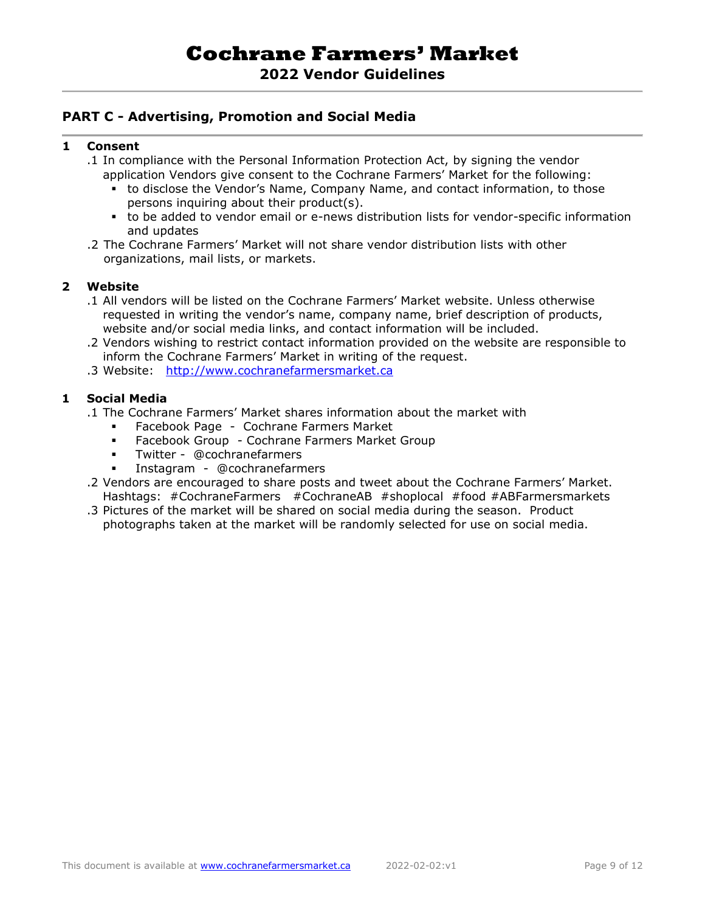## **2022 Vendor Guidelines**

### **PART C - Advertising, Promotion and Social Media**

#### **1 Consent**

- .1 In compliance with the Personal Information Protection Act, by signing the vendor application Vendors give consent to the Cochrane Farmers' Market for the following:
	- to disclose the Vendor's Name, Company Name, and contact information, to those persons inquiring about their product(s).
	- to be added to vendor email or e-news distribution lists for vendor-specific information and updates
- .2 The Cochrane Farmers' Market will not share vendor distribution lists with other organizations, mail lists, or markets.

#### **2 Website**

- .1 All vendors will be listed on the Cochrane Farmers' Market website. Unless otherwise requested in writing the vendor's name, company name, brief description of products, website and/or social media links, and contact information will be included.
- .2 Vendors wishing to restrict contact information provided on the website are responsible to inform the Cochrane Farmers' Market in writing of the request.
- .3 Website: [http://www.cochranefarmersmarket.ca](http://www.cochranefarmersmarket.ca/)

#### **1 Social Media**

- .1 The Cochrane Farmers' Market shares information about the market with
	- Facebook Page Cochrane Farmers Market
	- Facebook Group Cochrane Farmers Market Group
	- Twitter @cochranefarmers
	- Instagram @cochranefarmers
- .2 Vendors are encouraged to share posts and tweet about the Cochrane Farmers' Market. Hashtags: #CochraneFarmers #CochraneAB #shoplocal #food #ABFarmersmarkets
- .3 Pictures of the market will be shared on social media during the season. Product photographs taken at the market will be randomly selected for use on social media.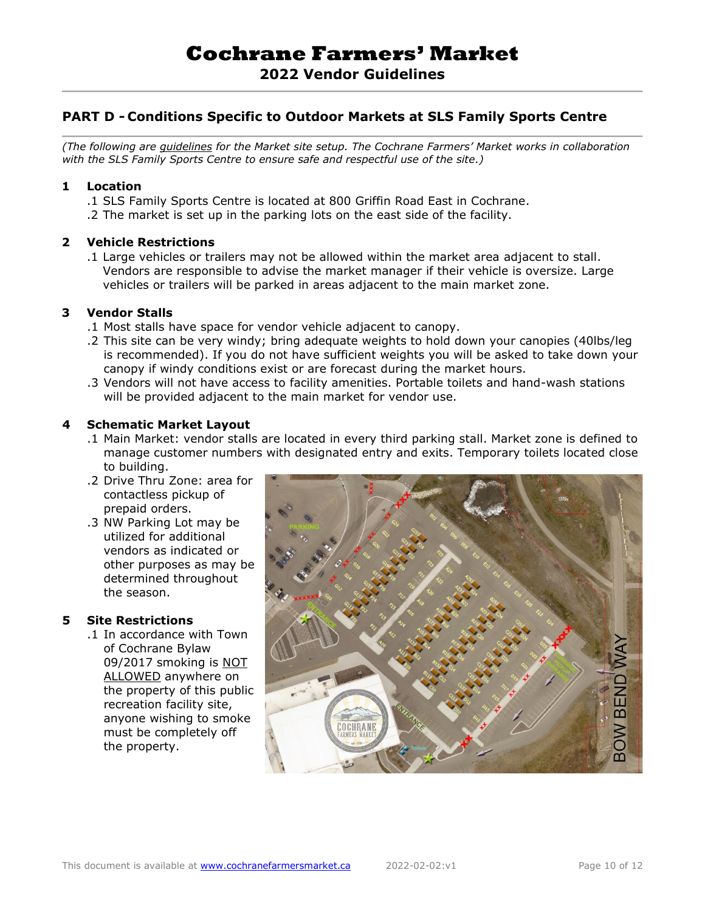## **PART D - Conditions Specific to Outdoor Markets at SLS Family Sports Centre**

*(The following are guidelines for the Market site setup. The Cochrane Farmers' Market works in collaboration with the SLS Family Sports Centre to ensure safe and respectful use of the site.)*

#### **1 Location**

- .1 SLS Family Sports Centre is located at 800 Griffin Road East in Cochrane.
- .2 The market is set up in the parking lots on the east side of the facility.

#### **2 Vehicle Restrictions**

.1 Large vehicles or trailers may not be allowed within the market area adjacent to stall. Vendors are responsible to advise the market manager if their vehicle is oversize. Large vehicles or trailers will be parked in areas adjacent to the main market zone.

#### **3 Vendor Stalls**

- .1 Most stalls have space for vendor vehicle adjacent to canopy.
- .2 This site can be very windy; bring adequate weights to hold down your canopies (40lbs/leg is recommended). If you do not have sufficient weights you will be asked to take down your canopy if windy conditions exist or are forecast during the market hours.
- .3 Vendors will not have access to facility amenities. Portable toilets and hand-wash stations will be provided adjacent to the main market for vendor use.

#### **4 Schematic Market Layout**

- .1 Main Market: vendor stalls are located in every third parking stall. Market zone is defined to manage customer numbers with designated entry and exits. Temporary toilets located close to building.
- .2 Drive Thru Zone: area for contactless pickup of prepaid orders.
- .3 NW Parking Lot may be utilized for additional vendors as indicated or other purposes as may be determined throughout the season.

#### **5 Site Restrictions**

.1 In accordance with Town of Cochrane Bylaw 09/2017 smoking is NOT ALLOWED anywhere on the property of this public recreation facility site, anyone wishing to smoke must be completely off the property.

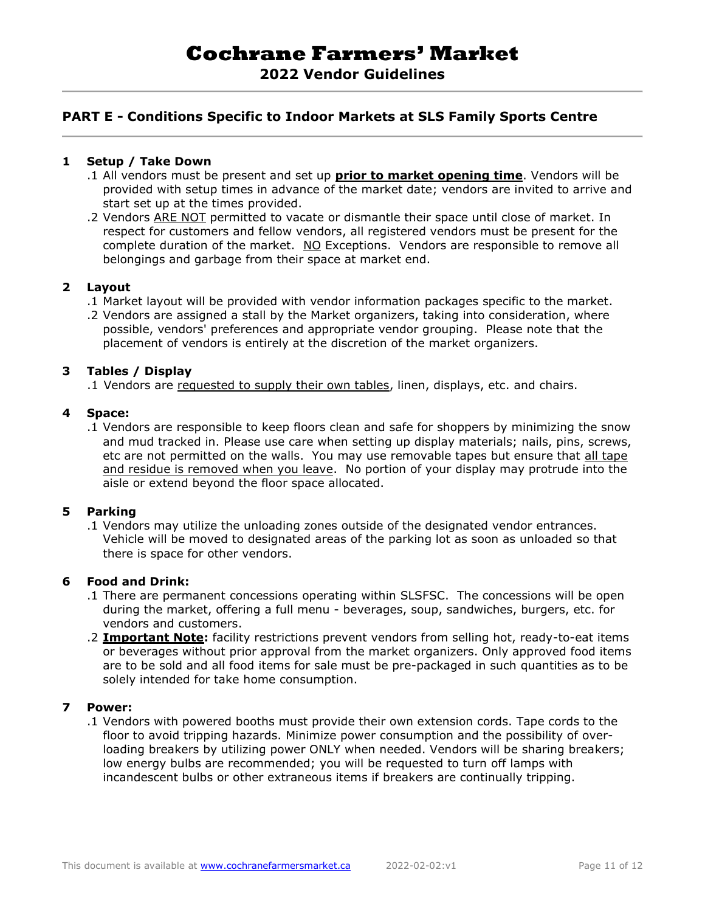# **2022 Vendor Guidelines**

## **PART E - Conditions Specific to Indoor Markets at SLS Family Sports Centre**

#### **1 Setup / Take Down**

- .1 All vendors must be present and set up **prior to market opening time**. Vendors will be provided with setup times in advance of the market date; vendors are invited to arrive and start set up at the times provided.
- .2 Vendors ARE NOT permitted to vacate or dismantle their space until close of market. In respect for customers and fellow vendors, all registered vendors must be present for the complete duration of the market. NO Exceptions. Vendors are responsible to remove all belongings and garbage from their space at market end.

#### **2 Layout**

- .1 Market layout will be provided with vendor information packages specific to the market.
- .2 Vendors are assigned a stall by the Market organizers, taking into consideration, where possible, vendors' preferences and appropriate vendor grouping. Please note that the placement of vendors is entirely at the discretion of the market organizers.

#### **3 Tables / Display**

.1 Vendors are requested to supply their own tables, linen, displays, etc. and chairs.

#### **4 Space:**

.1 Vendors are responsible to keep floors clean and safe for shoppers by minimizing the snow and mud tracked in. Please use care when setting up display materials; nails, pins, screws, etc are not permitted on the walls. You may use removable tapes but ensure that all tape and residue is removed when you leave. No portion of your display may protrude into the aisle or extend beyond the floor space allocated.

#### **5 Parking**

.1 Vendors may utilize the unloading zones outside of the designated vendor entrances. Vehicle will be moved to designated areas of the parking lot as soon as unloaded so that there is space for other vendors.

#### **6 Food and Drink:**

- .1 There are permanent concessions operating within SLSFSC. The concessions will be open during the market, offering a full menu - beverages, soup, sandwiches, burgers, etc. for vendors and customers.
- .2 **Important Note:** facility restrictions prevent vendors from selling hot, ready-to-eat items or beverages without prior approval from the market organizers. Only approved food items are to be sold and all food items for sale must be pre-packaged in such quantities as to be solely intended for take home consumption.

#### **7 Power:**

.1 Vendors with powered booths must provide their own extension cords. Tape cords to the floor to avoid tripping hazards. Minimize power consumption and the possibility of overloading breakers by utilizing power ONLY when needed. Vendors will be sharing breakers; low energy bulbs are recommended; you will be requested to turn off lamps with incandescent bulbs or other extraneous items if breakers are continually tripping.